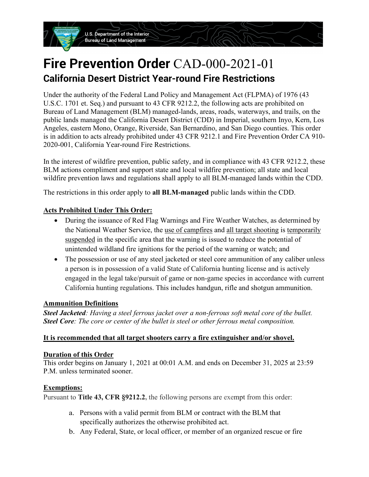**U.S. Department of the Interior Bureau of Land Management** 

# **Fire Prevention Order** CAD-000-2021-01 **California Desert District Year-round Fire Restrictions**

Under the authority of the Federal Land Policy and Management Act (FLPMA) of 1976 (43 U.S.C. 1701 et. Seq.) and pursuant to 43 CFR 9212.2, the following acts are prohibited on Bureau of Land Management (BLM) managed-lands, areas, roads, waterways, and trails, on the public lands managed the California Desert District (CDD) in Imperial, southern Inyo, Kern, Los Angeles, eastern Mono, Orange, Riverside, San Bernardino, and San Diego counties. This order is in addition to acts already prohibited under 43 CFR 9212.1 and Fire Prevention Order CA 910- 2020-001, California Year-round Fire Restrictions.

In the interest of wildfire prevention, public safety, and in compliance with 43 CFR 9212.2, these BLM actions compliment and support state and local wildfire prevention; all state and local wildfire prevention laws and regulations shall apply to all BLM-managed lands within the CDD.

The restrictions in this order apply to **all BLM-managed** public lands within the CDD.

### **Acts Prohibited Under This Order:**

- During the issuance of Red Flag Warnings and Fire Weather Watches, as determined by the National Weather Service, the use of campfires and all target shooting is temporarily suspended in the specific area that the warning is issued to reduce the potential of unintended wildland fire ignitions for the period of the warning or watch; and
- The possession or use of any steel jacketed or steel core ammunition of any caliber unless a person is in possession of a valid State of California hunting license and is actively engaged in the legal take/pursuit of game or non-game species in accordance with current California hunting regulations. This includes handgun, rifle and shotgun ammunition.

#### **Ammunition Definitions**

*Steel Jacketed: Having a steel ferrous jacket over a non-ferrous soft metal core of the bullet. Steel Core: The core or center of the bullet is steel or other ferrous metal composition.*

#### **It is recommended that all target shooters carry a fire extinguisher and/or shovel.**

#### **Duration of this Order**

This order begins on January 1, 2021 at 00:01 A.M. and ends on December 31, 2025 at 23:59 P.M. unless terminated sooner.

#### **Exemptions:**

Pursuant to **Title 43, CFR §9212.2,** the following persons are exempt from this order:

- a. Persons with a valid permit from BLM or contract with the BLM that specifically authorizes the otherwise prohibited act.
- b. Any Federal, State, or local officer, or member of an organized rescue or fire